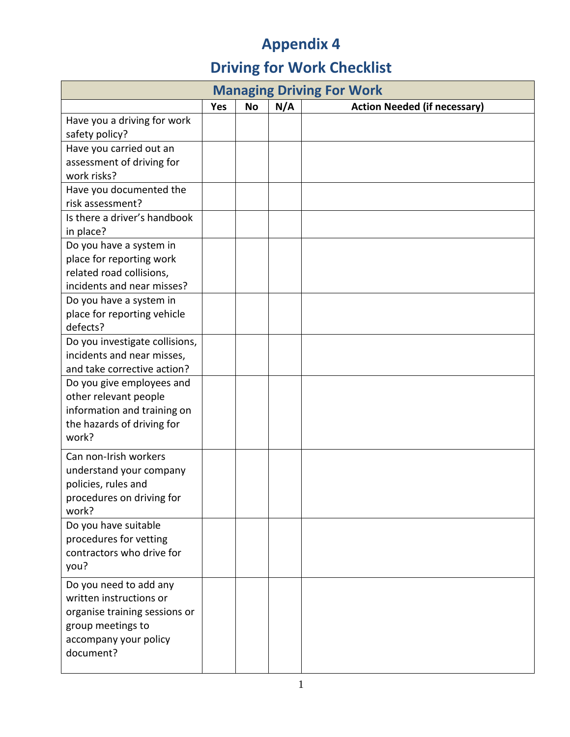## **Appendix 4**

## **Driving for Work Checklist**

| <b>Managing Driving For Work</b>                   |            |           |     |                                     |  |  |
|----------------------------------------------------|------------|-----------|-----|-------------------------------------|--|--|
|                                                    | <b>Yes</b> | <b>No</b> | N/A | <b>Action Needed (if necessary)</b> |  |  |
| Have you a driving for work                        |            |           |     |                                     |  |  |
| safety policy?                                     |            |           |     |                                     |  |  |
| Have you carried out an                            |            |           |     |                                     |  |  |
| assessment of driving for                          |            |           |     |                                     |  |  |
| work risks?                                        |            |           |     |                                     |  |  |
| Have you documented the                            |            |           |     |                                     |  |  |
| risk assessment?                                   |            |           |     |                                     |  |  |
| Is there a driver's handbook                       |            |           |     |                                     |  |  |
| in place?                                          |            |           |     |                                     |  |  |
| Do you have a system in                            |            |           |     |                                     |  |  |
| place for reporting work                           |            |           |     |                                     |  |  |
| related road collisions,                           |            |           |     |                                     |  |  |
| incidents and near misses?                         |            |           |     |                                     |  |  |
| Do you have a system in                            |            |           |     |                                     |  |  |
| place for reporting vehicle                        |            |           |     |                                     |  |  |
| defects?                                           |            |           |     |                                     |  |  |
| Do you investigate collisions,                     |            |           |     |                                     |  |  |
| incidents and near misses,                         |            |           |     |                                     |  |  |
| and take corrective action?                        |            |           |     |                                     |  |  |
| Do you give employees and                          |            |           |     |                                     |  |  |
| other relevant people                              |            |           |     |                                     |  |  |
| information and training on                        |            |           |     |                                     |  |  |
| the hazards of driving for                         |            |           |     |                                     |  |  |
| work?                                              |            |           |     |                                     |  |  |
| Can non-Irish workers                              |            |           |     |                                     |  |  |
| understand your company                            |            |           |     |                                     |  |  |
| policies, rules and                                |            |           |     |                                     |  |  |
| procedures on driving for                          |            |           |     |                                     |  |  |
| work?                                              |            |           |     |                                     |  |  |
| Do you have suitable                               |            |           |     |                                     |  |  |
| procedures for vetting                             |            |           |     |                                     |  |  |
| contractors who drive for                          |            |           |     |                                     |  |  |
| you?                                               |            |           |     |                                     |  |  |
| Do you need to add any                             |            |           |     |                                     |  |  |
| written instructions or                            |            |           |     |                                     |  |  |
|                                                    |            |           |     |                                     |  |  |
| organise training sessions or<br>group meetings to |            |           |     |                                     |  |  |
| accompany your policy                              |            |           |     |                                     |  |  |
| document?                                          |            |           |     |                                     |  |  |
|                                                    |            |           |     |                                     |  |  |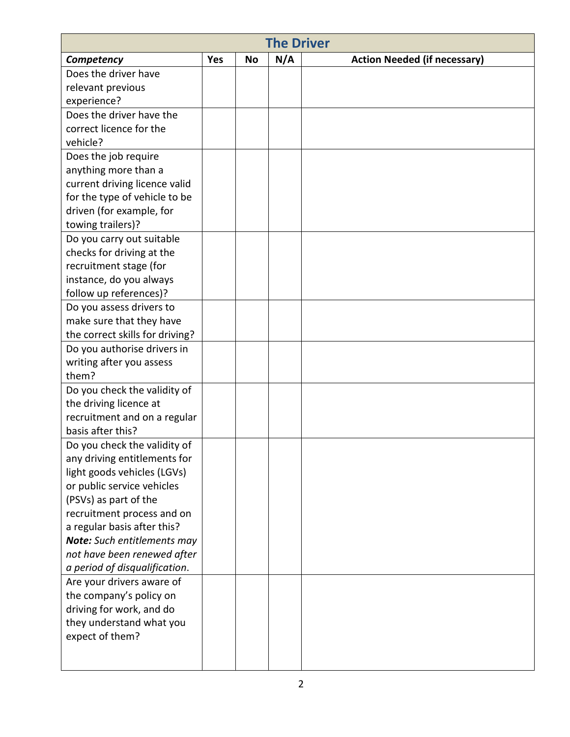|                                 | <b>The Driver</b> |    |     |                                     |  |  |  |  |
|---------------------------------|-------------------|----|-----|-------------------------------------|--|--|--|--|
| Competency                      | <b>Yes</b>        | No | N/A | <b>Action Needed (if necessary)</b> |  |  |  |  |
| Does the driver have            |                   |    |     |                                     |  |  |  |  |
| relevant previous               |                   |    |     |                                     |  |  |  |  |
| experience?                     |                   |    |     |                                     |  |  |  |  |
| Does the driver have the        |                   |    |     |                                     |  |  |  |  |
| correct licence for the         |                   |    |     |                                     |  |  |  |  |
| vehicle?                        |                   |    |     |                                     |  |  |  |  |
| Does the job require            |                   |    |     |                                     |  |  |  |  |
| anything more than a            |                   |    |     |                                     |  |  |  |  |
| current driving licence valid   |                   |    |     |                                     |  |  |  |  |
| for the type of vehicle to be   |                   |    |     |                                     |  |  |  |  |
| driven (for example, for        |                   |    |     |                                     |  |  |  |  |
| towing trailers)?               |                   |    |     |                                     |  |  |  |  |
| Do you carry out suitable       |                   |    |     |                                     |  |  |  |  |
| checks for driving at the       |                   |    |     |                                     |  |  |  |  |
| recruitment stage (for          |                   |    |     |                                     |  |  |  |  |
| instance, do you always         |                   |    |     |                                     |  |  |  |  |
| follow up references)?          |                   |    |     |                                     |  |  |  |  |
| Do you assess drivers to        |                   |    |     |                                     |  |  |  |  |
| make sure that they have        |                   |    |     |                                     |  |  |  |  |
| the correct skills for driving? |                   |    |     |                                     |  |  |  |  |
| Do you authorise drivers in     |                   |    |     |                                     |  |  |  |  |
| writing after you assess        |                   |    |     |                                     |  |  |  |  |
| them?                           |                   |    |     |                                     |  |  |  |  |
| Do you check the validity of    |                   |    |     |                                     |  |  |  |  |
| the driving licence at          |                   |    |     |                                     |  |  |  |  |
| recruitment and on a regular    |                   |    |     |                                     |  |  |  |  |
| basis after this?               |                   |    |     |                                     |  |  |  |  |
| Do you check the validity of    |                   |    |     |                                     |  |  |  |  |
| any driving entitlements for    |                   |    |     |                                     |  |  |  |  |
| light goods vehicles (LGVs)     |                   |    |     |                                     |  |  |  |  |
| or public service vehicles      |                   |    |     |                                     |  |  |  |  |
| (PSVs) as part of the           |                   |    |     |                                     |  |  |  |  |
| recruitment process and on      |                   |    |     |                                     |  |  |  |  |
| a regular basis after this?     |                   |    |     |                                     |  |  |  |  |
| Note: Such entitlements may     |                   |    |     |                                     |  |  |  |  |
| not have been renewed after     |                   |    |     |                                     |  |  |  |  |
| a period of disqualification.   |                   |    |     |                                     |  |  |  |  |
| Are your drivers aware of       |                   |    |     |                                     |  |  |  |  |
| the company's policy on         |                   |    |     |                                     |  |  |  |  |
| driving for work, and do        |                   |    |     |                                     |  |  |  |  |
| they understand what you        |                   |    |     |                                     |  |  |  |  |
| expect of them?                 |                   |    |     |                                     |  |  |  |  |
|                                 |                   |    |     |                                     |  |  |  |  |
|                                 |                   |    |     |                                     |  |  |  |  |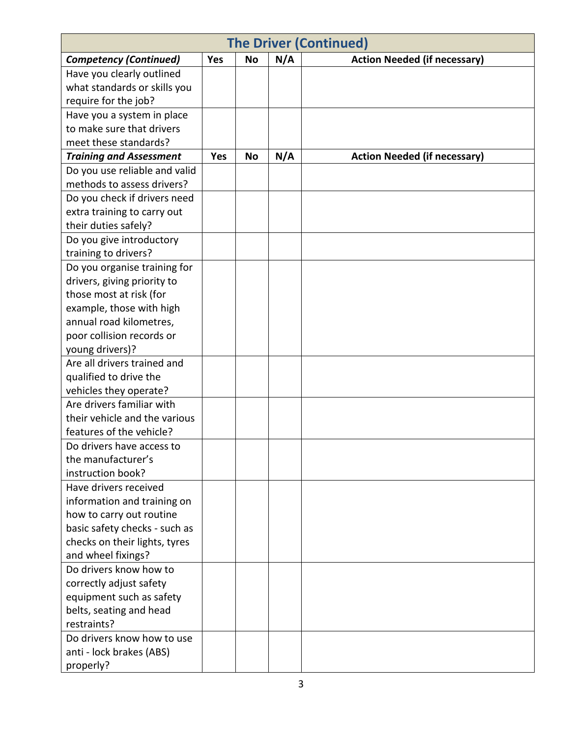| <b>The Driver (Continued)</b>  |            |           |     |                                     |  |  |
|--------------------------------|------------|-----------|-----|-------------------------------------|--|--|
| <b>Competency (Continued)</b>  | Yes        | <b>No</b> | N/A | <b>Action Needed (if necessary)</b> |  |  |
| Have you clearly outlined      |            |           |     |                                     |  |  |
| what standards or skills you   |            |           |     |                                     |  |  |
| require for the job?           |            |           |     |                                     |  |  |
| Have you a system in place     |            |           |     |                                     |  |  |
| to make sure that drivers      |            |           |     |                                     |  |  |
| meet these standards?          |            |           |     |                                     |  |  |
| <b>Training and Assessment</b> | <b>Yes</b> | <b>No</b> | N/A | <b>Action Needed (if necessary)</b> |  |  |
| Do you use reliable and valid  |            |           |     |                                     |  |  |
| methods to assess drivers?     |            |           |     |                                     |  |  |
| Do you check if drivers need   |            |           |     |                                     |  |  |
| extra training to carry out    |            |           |     |                                     |  |  |
| their duties safely?           |            |           |     |                                     |  |  |
| Do you give introductory       |            |           |     |                                     |  |  |
| training to drivers?           |            |           |     |                                     |  |  |
| Do you organise training for   |            |           |     |                                     |  |  |
| drivers, giving priority to    |            |           |     |                                     |  |  |
| those most at risk (for        |            |           |     |                                     |  |  |
| example, those with high       |            |           |     |                                     |  |  |
| annual road kilometres,        |            |           |     |                                     |  |  |
| poor collision records or      |            |           |     |                                     |  |  |
| young drivers)?                |            |           |     |                                     |  |  |
| Are all drivers trained and    |            |           |     |                                     |  |  |
| qualified to drive the         |            |           |     |                                     |  |  |
| vehicles they operate?         |            |           |     |                                     |  |  |
| Are drivers familiar with      |            |           |     |                                     |  |  |
| their vehicle and the various  |            |           |     |                                     |  |  |
| features of the vehicle?       |            |           |     |                                     |  |  |
| Do drivers have access to      |            |           |     |                                     |  |  |
| the manufacturer's             |            |           |     |                                     |  |  |
| instruction book?              |            |           |     |                                     |  |  |
| Have drivers received          |            |           |     |                                     |  |  |
| information and training on    |            |           |     |                                     |  |  |
| how to carry out routine       |            |           |     |                                     |  |  |
| basic safety checks - such as  |            |           |     |                                     |  |  |
| checks on their lights, tyres  |            |           |     |                                     |  |  |
| and wheel fixings?             |            |           |     |                                     |  |  |
| Do drivers know how to         |            |           |     |                                     |  |  |
| correctly adjust safety        |            |           |     |                                     |  |  |
| equipment such as safety       |            |           |     |                                     |  |  |
| belts, seating and head        |            |           |     |                                     |  |  |
| restraints?                    |            |           |     |                                     |  |  |
| Do drivers know how to use     |            |           |     |                                     |  |  |
| anti - lock brakes (ABS)       |            |           |     |                                     |  |  |
| properly?                      |            |           |     |                                     |  |  |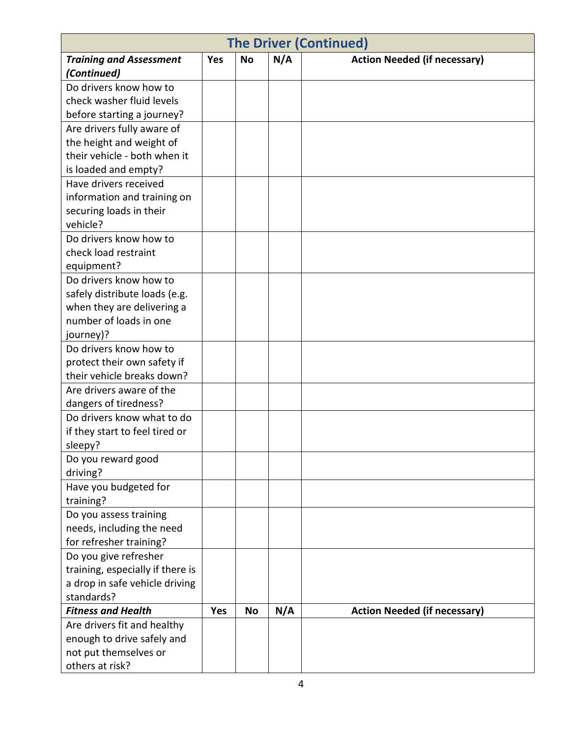|                                              |     |           |     | <b>The Driver (Continued)</b>       |
|----------------------------------------------|-----|-----------|-----|-------------------------------------|
| <b>Training and Assessment</b>               | Yes | <b>No</b> | N/A | <b>Action Needed (if necessary)</b> |
| (Continued)                                  |     |           |     |                                     |
| Do drivers know how to                       |     |           |     |                                     |
| check washer fluid levels                    |     |           |     |                                     |
| before starting a journey?                   |     |           |     |                                     |
| Are drivers fully aware of                   |     |           |     |                                     |
| the height and weight of                     |     |           |     |                                     |
| their vehicle - both when it                 |     |           |     |                                     |
| is loaded and empty?                         |     |           |     |                                     |
| Have drivers received                        |     |           |     |                                     |
| information and training on                  |     |           |     |                                     |
| securing loads in their                      |     |           |     |                                     |
| vehicle?                                     |     |           |     |                                     |
| Do drivers know how to                       |     |           |     |                                     |
| check load restraint                         |     |           |     |                                     |
| equipment?                                   |     |           |     |                                     |
| Do drivers know how to                       |     |           |     |                                     |
| safely distribute loads (e.g.                |     |           |     |                                     |
| when they are delivering a                   |     |           |     |                                     |
| number of loads in one                       |     |           |     |                                     |
| journey)?                                    |     |           |     |                                     |
| Do drivers know how to                       |     |           |     |                                     |
| protect their own safety if                  |     |           |     |                                     |
| their vehicle breaks down?                   |     |           |     |                                     |
| Are drivers aware of the                     |     |           |     |                                     |
| dangers of tiredness?                        |     |           |     |                                     |
| Do drivers know what to do                   |     |           |     |                                     |
| if they start to feel tired or               |     |           |     |                                     |
| sleepy?                                      |     |           |     |                                     |
| Do you reward good                           |     |           |     |                                     |
| driving?                                     |     |           |     |                                     |
| Have you budgeted for                        |     |           |     |                                     |
| training?                                    |     |           |     |                                     |
| Do you assess training                       |     |           |     |                                     |
| needs, including the need                    |     |           |     |                                     |
| for refresher training?                      |     |           |     |                                     |
| Do you give refresher                        |     |           |     |                                     |
| training, especially if there is             |     |           |     |                                     |
| a drop in safe vehicle driving<br>standards? |     |           |     |                                     |
| <b>Fitness and Health</b>                    | Yes | <b>No</b> | N/A | <b>Action Needed (if necessary)</b> |
| Are drivers fit and healthy                  |     |           |     |                                     |
| enough to drive safely and                   |     |           |     |                                     |
| not put themselves or                        |     |           |     |                                     |
| others at risk?                              |     |           |     |                                     |
|                                              |     |           |     |                                     |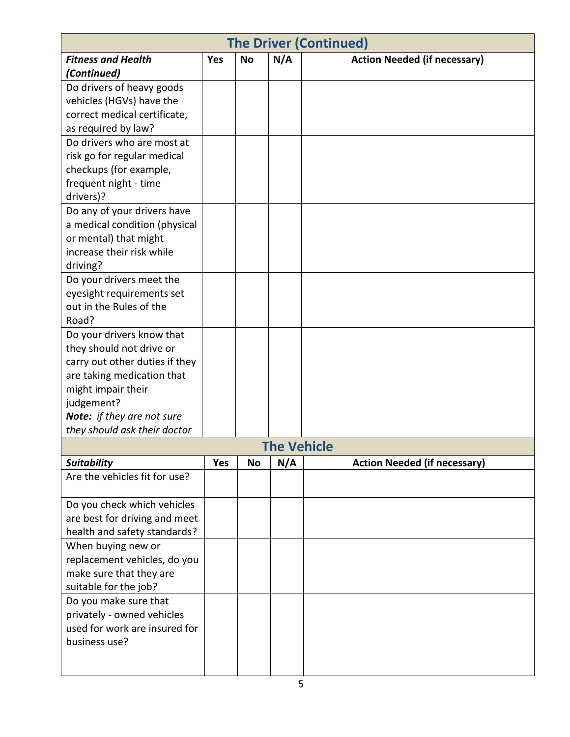|                                |            |           |                    | <b>The Driver (Continued)</b>       |
|--------------------------------|------------|-----------|--------------------|-------------------------------------|
| <b>Fitness and Health</b>      | <b>Yes</b> | <b>No</b> | N/A                | <b>Action Needed (if necessary)</b> |
| (Continued)                    |            |           |                    |                                     |
| Do drivers of heavy goods      |            |           |                    |                                     |
| vehicles (HGVs) have the       |            |           |                    |                                     |
| correct medical certificate,   |            |           |                    |                                     |
| as required by law?            |            |           |                    |                                     |
| Do drivers who are most at     |            |           |                    |                                     |
| risk go for regular medical    |            |           |                    |                                     |
| checkups (for example,         |            |           |                    |                                     |
| frequent night - time          |            |           |                    |                                     |
| drivers)?                      |            |           |                    |                                     |
| Do any of your drivers have    |            |           |                    |                                     |
| a medical condition (physical  |            |           |                    |                                     |
| or mental) that might          |            |           |                    |                                     |
| increase their risk while      |            |           |                    |                                     |
| driving?                       |            |           |                    |                                     |
| Do your drivers meet the       |            |           |                    |                                     |
| eyesight requirements set      |            |           |                    |                                     |
| out in the Rules of the        |            |           |                    |                                     |
| Road?                          |            |           |                    |                                     |
| Do your drivers know that      |            |           |                    |                                     |
| they should not drive or       |            |           |                    |                                     |
| carry out other duties if they |            |           |                    |                                     |
| are taking medication that     |            |           |                    |                                     |
| might impair their             |            |           |                    |                                     |
| judgement?                     |            |           |                    |                                     |
| Note: if they are not sure     |            |           |                    |                                     |
| they should ask their doctor   |            |           |                    |                                     |
|                                |            |           | <b>The Vehicle</b> |                                     |
| <b>Suitability</b>             | <b>Yes</b> | <b>No</b> | N/A                | <b>Action Needed (if necessary)</b> |
| Are the vehicles fit for use?  |            |           |                    |                                     |
| Do you check which vehicles    |            |           |                    |                                     |
| are best for driving and meet  |            |           |                    |                                     |
| health and safety standards?   |            |           |                    |                                     |
| When buying new or             |            |           |                    |                                     |
| replacement vehicles, do you   |            |           |                    |                                     |
| make sure that they are        |            |           |                    |                                     |
| suitable for the job?          |            |           |                    |                                     |
| Do you make sure that          |            |           |                    |                                     |
| privately - owned vehicles     |            |           |                    |                                     |
| used for work are insured for  |            |           |                    |                                     |
| business use?                  |            |           |                    |                                     |
|                                |            |           |                    |                                     |
|                                |            |           |                    |                                     |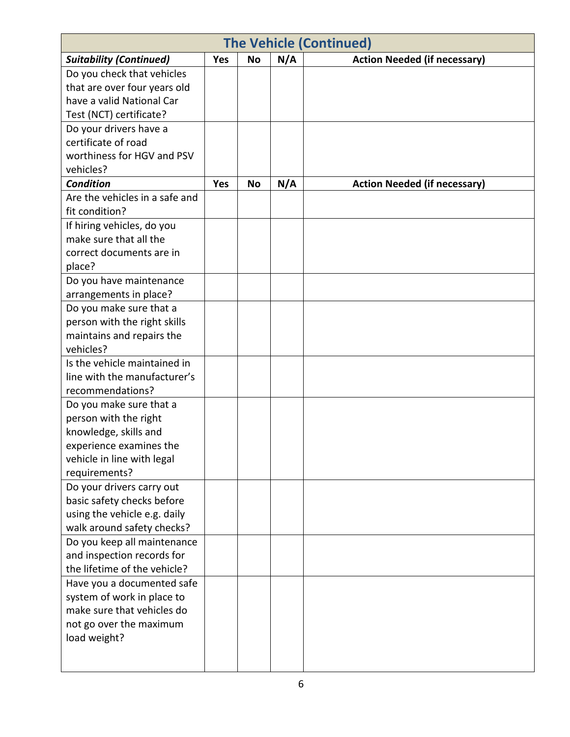| <b>The Vehicle (Continued)</b> |            |           |     |                                     |  |
|--------------------------------|------------|-----------|-----|-------------------------------------|--|
| <b>Suitability (Continued)</b> | <b>Yes</b> | <b>No</b> | N/A | <b>Action Needed (if necessary)</b> |  |
| Do you check that vehicles     |            |           |     |                                     |  |
| that are over four years old   |            |           |     |                                     |  |
| have a valid National Car      |            |           |     |                                     |  |
| Test (NCT) certificate?        |            |           |     |                                     |  |
| Do your drivers have a         |            |           |     |                                     |  |
| certificate of road            |            |           |     |                                     |  |
| worthiness for HGV and PSV     |            |           |     |                                     |  |
| vehicles?                      |            |           |     |                                     |  |
| <b>Condition</b>               | Yes        | <b>No</b> | N/A | <b>Action Needed (if necessary)</b> |  |
| Are the vehicles in a safe and |            |           |     |                                     |  |
| fit condition?                 |            |           |     |                                     |  |
| If hiring vehicles, do you     |            |           |     |                                     |  |
| make sure that all the         |            |           |     |                                     |  |
| correct documents are in       |            |           |     |                                     |  |
| place?                         |            |           |     |                                     |  |
| Do you have maintenance        |            |           |     |                                     |  |
| arrangements in place?         |            |           |     |                                     |  |
| Do you make sure that a        |            |           |     |                                     |  |
| person with the right skills   |            |           |     |                                     |  |
| maintains and repairs the      |            |           |     |                                     |  |
| vehicles?                      |            |           |     |                                     |  |
| Is the vehicle maintained in   |            |           |     |                                     |  |
| line with the manufacturer's   |            |           |     |                                     |  |
| recommendations?               |            |           |     |                                     |  |
| Do you make sure that a        |            |           |     |                                     |  |
| person with the right          |            |           |     |                                     |  |
| knowledge, skills and          |            |           |     |                                     |  |
| experience examines the        |            |           |     |                                     |  |
| vehicle in line with legal     |            |           |     |                                     |  |
| requirements?                  |            |           |     |                                     |  |
| Do your drivers carry out      |            |           |     |                                     |  |
| basic safety checks before     |            |           |     |                                     |  |
| using the vehicle e.g. daily   |            |           |     |                                     |  |
| walk around safety checks?     |            |           |     |                                     |  |
| Do you keep all maintenance    |            |           |     |                                     |  |
| and inspection records for     |            |           |     |                                     |  |
| the lifetime of the vehicle?   |            |           |     |                                     |  |
| Have you a documented safe     |            |           |     |                                     |  |
| system of work in place to     |            |           |     |                                     |  |
| make sure that vehicles do     |            |           |     |                                     |  |
| not go over the maximum        |            |           |     |                                     |  |
| load weight?                   |            |           |     |                                     |  |
|                                |            |           |     |                                     |  |
|                                |            |           |     |                                     |  |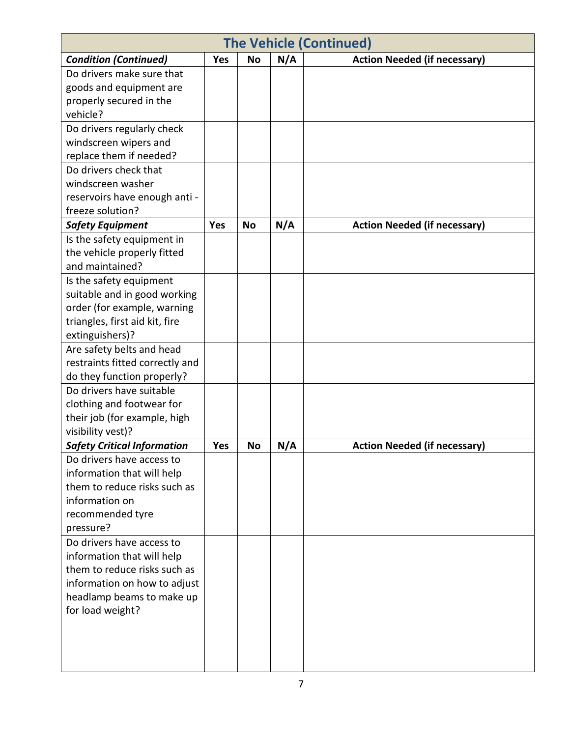|                                    | <b>The Vehicle (Continued)</b> |           |     |                                     |  |  |  |
|------------------------------------|--------------------------------|-----------|-----|-------------------------------------|--|--|--|
| <b>Condition (Continued)</b>       | Yes                            | <b>No</b> | N/A | <b>Action Needed (if necessary)</b> |  |  |  |
| Do drivers make sure that          |                                |           |     |                                     |  |  |  |
| goods and equipment are            |                                |           |     |                                     |  |  |  |
| properly secured in the            |                                |           |     |                                     |  |  |  |
| vehicle?                           |                                |           |     |                                     |  |  |  |
| Do drivers regularly check         |                                |           |     |                                     |  |  |  |
| windscreen wipers and              |                                |           |     |                                     |  |  |  |
| replace them if needed?            |                                |           |     |                                     |  |  |  |
| Do drivers check that              |                                |           |     |                                     |  |  |  |
| windscreen washer                  |                                |           |     |                                     |  |  |  |
| reservoirs have enough anti -      |                                |           |     |                                     |  |  |  |
| freeze solution?                   |                                |           |     |                                     |  |  |  |
| <b>Safety Equipment</b>            | <b>Yes</b>                     | <b>No</b> | N/A | <b>Action Needed (if necessary)</b> |  |  |  |
| Is the safety equipment in         |                                |           |     |                                     |  |  |  |
| the vehicle properly fitted        |                                |           |     |                                     |  |  |  |
| and maintained?                    |                                |           |     |                                     |  |  |  |
| Is the safety equipment            |                                |           |     |                                     |  |  |  |
| suitable and in good working       |                                |           |     |                                     |  |  |  |
| order (for example, warning        |                                |           |     |                                     |  |  |  |
| triangles, first aid kit, fire     |                                |           |     |                                     |  |  |  |
| extinguishers)?                    |                                |           |     |                                     |  |  |  |
| Are safety belts and head          |                                |           |     |                                     |  |  |  |
| restraints fitted correctly and    |                                |           |     |                                     |  |  |  |
| do they function properly?         |                                |           |     |                                     |  |  |  |
| Do drivers have suitable           |                                |           |     |                                     |  |  |  |
| clothing and footwear for          |                                |           |     |                                     |  |  |  |
| their job (for example, high       |                                |           |     |                                     |  |  |  |
| visibility vest)?                  |                                |           |     |                                     |  |  |  |
| <b>Safety Critical Information</b> | Yes                            | <b>No</b> | N/A | <b>Action Needed (if necessary)</b> |  |  |  |
| Do drivers have access to          |                                |           |     |                                     |  |  |  |
| information that will help         |                                |           |     |                                     |  |  |  |
| them to reduce risks such as       |                                |           |     |                                     |  |  |  |
| information on                     |                                |           |     |                                     |  |  |  |
| recommended tyre<br>pressure?      |                                |           |     |                                     |  |  |  |
| Do drivers have access to          |                                |           |     |                                     |  |  |  |
| information that will help         |                                |           |     |                                     |  |  |  |
| them to reduce risks such as       |                                |           |     |                                     |  |  |  |
| information on how to adjust       |                                |           |     |                                     |  |  |  |
| headlamp beams to make up          |                                |           |     |                                     |  |  |  |
| for load weight?                   |                                |           |     |                                     |  |  |  |
|                                    |                                |           |     |                                     |  |  |  |
|                                    |                                |           |     |                                     |  |  |  |
|                                    |                                |           |     |                                     |  |  |  |
|                                    |                                |           |     |                                     |  |  |  |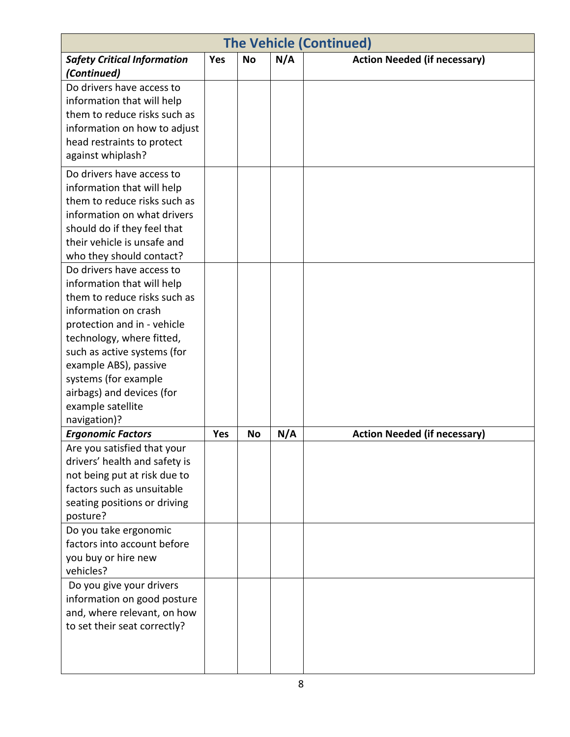| <b>The Vehicle (Continued)</b>                                                                                                                                                                                                                                                                                                |     |           |     |                                     |  |  |  |
|-------------------------------------------------------------------------------------------------------------------------------------------------------------------------------------------------------------------------------------------------------------------------------------------------------------------------------|-----|-----------|-----|-------------------------------------|--|--|--|
| <b>Safety Critical Information</b><br>(Continued)                                                                                                                                                                                                                                                                             | Yes | <b>No</b> | N/A | <b>Action Needed (if necessary)</b> |  |  |  |
| Do drivers have access to<br>information that will help<br>them to reduce risks such as<br>information on how to adjust<br>head restraints to protect<br>against whiplash?                                                                                                                                                    |     |           |     |                                     |  |  |  |
| Do drivers have access to<br>information that will help<br>them to reduce risks such as<br>information on what drivers<br>should do if they feel that<br>their vehicle is unsafe and<br>who they should contact?                                                                                                              |     |           |     |                                     |  |  |  |
| Do drivers have access to<br>information that will help<br>them to reduce risks such as<br>information on crash<br>protection and in - vehicle<br>technology, where fitted,<br>such as active systems (for<br>example ABS), passive<br>systems (for example<br>airbags) and devices (for<br>example satellite<br>navigation)? |     |           |     |                                     |  |  |  |
| <b>Ergonomic Factors</b>                                                                                                                                                                                                                                                                                                      | Yes | <b>No</b> | N/A | <b>Action Needed (if necessary)</b> |  |  |  |
| Are you satisfied that your<br>drivers' health and safety is<br>not being put at risk due to<br>factors such as unsuitable<br>seating positions or driving<br>posture?                                                                                                                                                        |     |           |     |                                     |  |  |  |
| Do you take ergonomic<br>factors into account before<br>you buy or hire new<br>vehicles?                                                                                                                                                                                                                                      |     |           |     |                                     |  |  |  |
| Do you give your drivers<br>information on good posture<br>and, where relevant, on how<br>to set their seat correctly?                                                                                                                                                                                                        |     |           |     |                                     |  |  |  |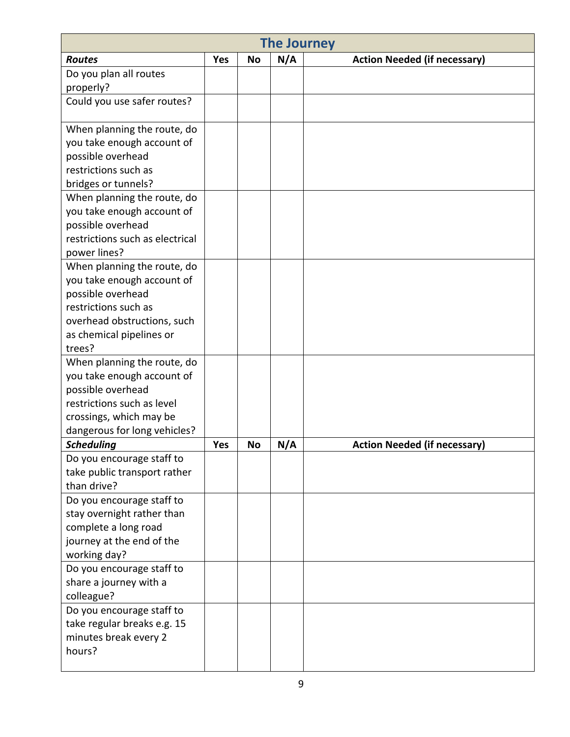|                                                   | <b>The Journey</b> |           |     |                                     |  |  |
|---------------------------------------------------|--------------------|-----------|-----|-------------------------------------|--|--|
| <b>Routes</b>                                     | <b>Yes</b>         | <b>No</b> | N/A | <b>Action Needed (if necessary)</b> |  |  |
| Do you plan all routes                            |                    |           |     |                                     |  |  |
| properly?                                         |                    |           |     |                                     |  |  |
| Could you use safer routes?                       |                    |           |     |                                     |  |  |
| When planning the route, do                       |                    |           |     |                                     |  |  |
| you take enough account of                        |                    |           |     |                                     |  |  |
| possible overhead                                 |                    |           |     |                                     |  |  |
| restrictions such as                              |                    |           |     |                                     |  |  |
| bridges or tunnels?                               |                    |           |     |                                     |  |  |
| When planning the route, do                       |                    |           |     |                                     |  |  |
| you take enough account of                        |                    |           |     |                                     |  |  |
| possible overhead                                 |                    |           |     |                                     |  |  |
| restrictions such as electrical                   |                    |           |     |                                     |  |  |
| power lines?                                      |                    |           |     |                                     |  |  |
| When planning the route, do                       |                    |           |     |                                     |  |  |
| you take enough account of                        |                    |           |     |                                     |  |  |
| possible overhead                                 |                    |           |     |                                     |  |  |
| restrictions such as                              |                    |           |     |                                     |  |  |
| overhead obstructions, such                       |                    |           |     |                                     |  |  |
| as chemical pipelines or                          |                    |           |     |                                     |  |  |
| trees?                                            |                    |           |     |                                     |  |  |
| When planning the route, do                       |                    |           |     |                                     |  |  |
| you take enough account of                        |                    |           |     |                                     |  |  |
| possible overhead                                 |                    |           |     |                                     |  |  |
| restrictions such as level                        |                    |           |     |                                     |  |  |
| crossings, which may be                           |                    |           |     |                                     |  |  |
| dangerous for long vehicles?                      |                    |           |     |                                     |  |  |
| <b>Scheduling</b>                                 | <b>Yes</b>         | <b>No</b> | N/A | <b>Action Needed (if necessary)</b> |  |  |
| Do you encourage staff to                         |                    |           |     |                                     |  |  |
| take public transport rather<br>than drive?       |                    |           |     |                                     |  |  |
|                                                   |                    |           |     |                                     |  |  |
| Do you encourage staff to                         |                    |           |     |                                     |  |  |
| stay overnight rather than                        |                    |           |     |                                     |  |  |
| complete a long road<br>journey at the end of the |                    |           |     |                                     |  |  |
| working day?                                      |                    |           |     |                                     |  |  |
| Do you encourage staff to                         |                    |           |     |                                     |  |  |
| share a journey with a                            |                    |           |     |                                     |  |  |
| colleague?                                        |                    |           |     |                                     |  |  |
| Do you encourage staff to                         |                    |           |     |                                     |  |  |
| take regular breaks e.g. 15                       |                    |           |     |                                     |  |  |
| minutes break every 2                             |                    |           |     |                                     |  |  |
| hours?                                            |                    |           |     |                                     |  |  |
|                                                   |                    |           |     |                                     |  |  |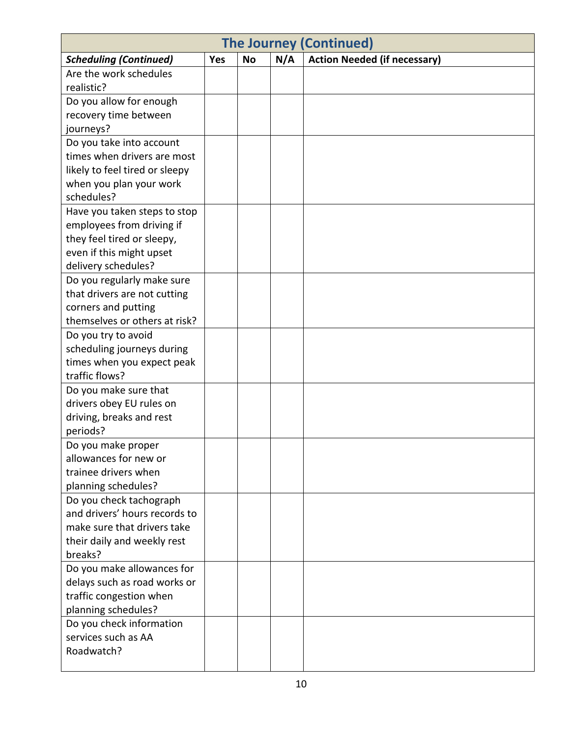| <b>The Journey (Continued)</b> |            |           |     |                                     |  |  |  |
|--------------------------------|------------|-----------|-----|-------------------------------------|--|--|--|
| <b>Scheduling (Continued)</b>  | <b>Yes</b> | <b>No</b> | N/A | <b>Action Needed (if necessary)</b> |  |  |  |
| Are the work schedules         |            |           |     |                                     |  |  |  |
| realistic?                     |            |           |     |                                     |  |  |  |
| Do you allow for enough        |            |           |     |                                     |  |  |  |
| recovery time between          |            |           |     |                                     |  |  |  |
| journeys?                      |            |           |     |                                     |  |  |  |
| Do you take into account       |            |           |     |                                     |  |  |  |
| times when drivers are most    |            |           |     |                                     |  |  |  |
| likely to feel tired or sleepy |            |           |     |                                     |  |  |  |
| when you plan your work        |            |           |     |                                     |  |  |  |
| schedules?                     |            |           |     |                                     |  |  |  |
| Have you taken steps to stop   |            |           |     |                                     |  |  |  |
| employees from driving if      |            |           |     |                                     |  |  |  |
| they feel tired or sleepy,     |            |           |     |                                     |  |  |  |
| even if this might upset       |            |           |     |                                     |  |  |  |
| delivery schedules?            |            |           |     |                                     |  |  |  |
| Do you regularly make sure     |            |           |     |                                     |  |  |  |
| that drivers are not cutting   |            |           |     |                                     |  |  |  |
| corners and putting            |            |           |     |                                     |  |  |  |
| themselves or others at risk?  |            |           |     |                                     |  |  |  |
| Do you try to avoid            |            |           |     |                                     |  |  |  |
| scheduling journeys during     |            |           |     |                                     |  |  |  |
| times when you expect peak     |            |           |     |                                     |  |  |  |
| traffic flows?                 |            |           |     |                                     |  |  |  |
| Do you make sure that          |            |           |     |                                     |  |  |  |
| drivers obey EU rules on       |            |           |     |                                     |  |  |  |
| driving, breaks and rest       |            |           |     |                                     |  |  |  |
| periods?                       |            |           |     |                                     |  |  |  |
| Do you make proper             |            |           |     |                                     |  |  |  |
| allowances for new or          |            |           |     |                                     |  |  |  |
| trainee drivers when           |            |           |     |                                     |  |  |  |
| planning schedules?            |            |           |     |                                     |  |  |  |
| Do you check tachograph        |            |           |     |                                     |  |  |  |
| and drivers' hours records to  |            |           |     |                                     |  |  |  |
| make sure that drivers take    |            |           |     |                                     |  |  |  |
| their daily and weekly rest    |            |           |     |                                     |  |  |  |
| breaks?                        |            |           |     |                                     |  |  |  |
| Do you make allowances for     |            |           |     |                                     |  |  |  |
| delays such as road works or   |            |           |     |                                     |  |  |  |
| traffic congestion when        |            |           |     |                                     |  |  |  |
| planning schedules?            |            |           |     |                                     |  |  |  |
| Do you check information       |            |           |     |                                     |  |  |  |
| services such as AA            |            |           |     |                                     |  |  |  |
| Roadwatch?                     |            |           |     |                                     |  |  |  |
|                                |            |           |     |                                     |  |  |  |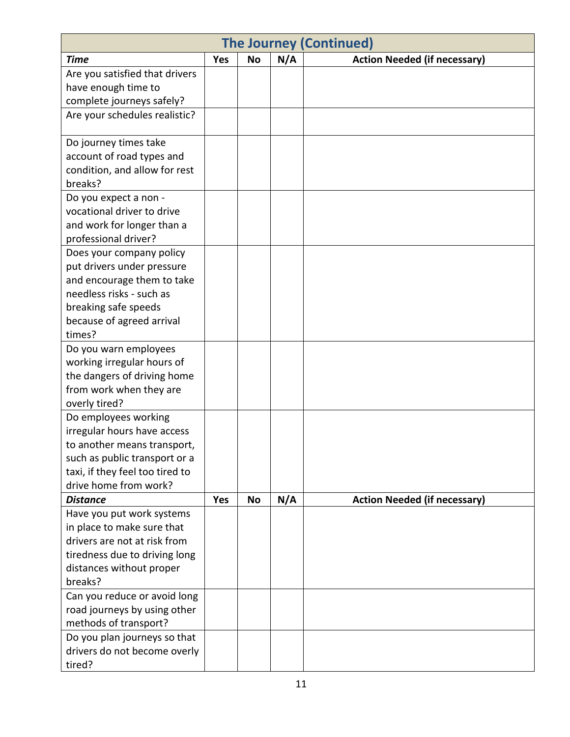| <b>The Journey (Continued)</b>           |            |           |     |                                     |  |
|------------------------------------------|------------|-----------|-----|-------------------------------------|--|
| <b>Time</b>                              | Yes        | <b>No</b> | N/A | <b>Action Needed (if necessary)</b> |  |
| Are you satisfied that drivers           |            |           |     |                                     |  |
| have enough time to                      |            |           |     |                                     |  |
| complete journeys safely?                |            |           |     |                                     |  |
| Are your schedules realistic?            |            |           |     |                                     |  |
| Do journey times take                    |            |           |     |                                     |  |
| account of road types and                |            |           |     |                                     |  |
| condition, and allow for rest            |            |           |     |                                     |  |
| breaks?                                  |            |           |     |                                     |  |
| Do you expect a non -                    |            |           |     |                                     |  |
| vocational driver to drive               |            |           |     |                                     |  |
| and work for longer than a               |            |           |     |                                     |  |
| professional driver?                     |            |           |     |                                     |  |
| Does your company policy                 |            |           |     |                                     |  |
| put drivers under pressure               |            |           |     |                                     |  |
| and encourage them to take               |            |           |     |                                     |  |
| needless risks - such as                 |            |           |     |                                     |  |
| breaking safe speeds                     |            |           |     |                                     |  |
| because of agreed arrival                |            |           |     |                                     |  |
| times?                                   |            |           |     |                                     |  |
| Do you warn employees                    |            |           |     |                                     |  |
| working irregular hours of               |            |           |     |                                     |  |
| the dangers of driving home              |            |           |     |                                     |  |
| from work when they are                  |            |           |     |                                     |  |
| overly tired?                            |            |           |     |                                     |  |
| Do employees working                     |            |           |     |                                     |  |
| irregular hours have access              |            |           |     |                                     |  |
| to another means transport,              |            |           |     |                                     |  |
| such as public transport or a            |            |           |     |                                     |  |
| taxi, if they feel too tired to          |            |           |     |                                     |  |
| drive home from work?<br><b>Distance</b> | <b>Yes</b> | <b>No</b> | N/A | <b>Action Needed (if necessary)</b> |  |
| Have you put work systems                |            |           |     |                                     |  |
| in place to make sure that               |            |           |     |                                     |  |
| drivers are not at risk from             |            |           |     |                                     |  |
| tiredness due to driving long            |            |           |     |                                     |  |
| distances without proper                 |            |           |     |                                     |  |
| breaks?                                  |            |           |     |                                     |  |
| Can you reduce or avoid long             |            |           |     |                                     |  |
| road journeys by using other             |            |           |     |                                     |  |
| methods of transport?                    |            |           |     |                                     |  |
| Do you plan journeys so that             |            |           |     |                                     |  |
| drivers do not become overly             |            |           |     |                                     |  |
| tired?                                   |            |           |     |                                     |  |